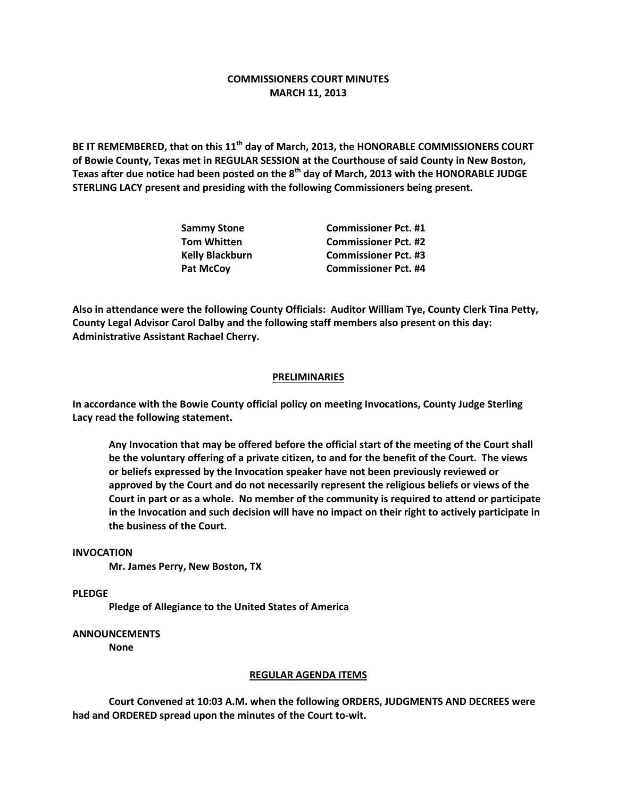# **COMMISSIONERS COURT MINUTES MARCH 11, 2013**

**BE IT REMEMBERED, that on this 11th day of March, 2013, the HONORABLE COMMISSIONERS COURT of Bowie County, Texas met in REGULAR SESSION at the Courthouse of said County in New Boston, Texas after due notice had been posted on the 8th day of March, 2013 with the HONORABLE JUDGE STERLING LACY present and presiding with the following Commissioners being present.**

| <b>Sammy Stone</b>     | <b>Commissioner Pct. #1</b> |
|------------------------|-----------------------------|
| <b>Tom Whitten</b>     | <b>Commissioner Pct. #2</b> |
| <b>Kelly Blackburn</b> | <b>Commissioner Pct. #3</b> |
| <b>Pat McCoy</b>       | <b>Commissioner Pct. #4</b> |

**Also in attendance were the following County Officials: Auditor William Tye, County Clerk Tina Petty, County Legal Advisor Carol Dalby and the following staff members also present on this day: Administrative Assistant Rachael Cherry.**

## **PRELIMINARIES**

**In accordance with the Bowie County official policy on meeting Invocations, County Judge Sterling Lacy read the following statement.**

**Any Invocation that may be offered before the official start of the meeting of the Court shall be the voluntary offering of a private citizen, to and for the benefit of the Court. The views or beliefs expressed by the Invocation speaker have not been previously reviewed or approved by the Court and do not necessarily represent the religious beliefs or views of the Court in part or as a whole. No member of the community is required to attend or participate in the Invocation and such decision will have no impact on their right to actively participate in the business of the Court.**

#### **INVOCATION**

**Mr. James Perry, New Boston, TX**

**PLEDGE**

**Pledge of Allegiance to the United States of America**

### **ANNOUNCEMENTS**

**None**

#### **REGULAR AGENDA ITEMS**

**Court Convened at 10:03 A.M. when the following ORDERS, JUDGMENTS AND DECREES were had and ORDERED spread upon the minutes of the Court to-wit.**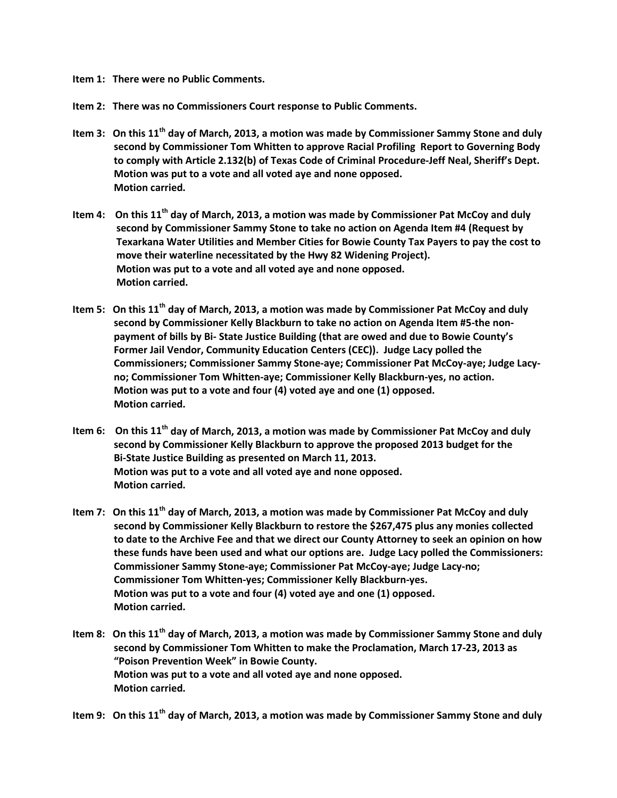**Item 1: There were no Public Comments.**

**Item 2: There was no Commissioners Court response to Public Comments.**

- **Item 3: On this 11th day of March, 2013, a motion was made by Commissioner Sammy Stone and duly second by Commissioner Tom Whitten to approve Racial Profiling Report to Governing Body to comply with Article 2.132(b) of Texas Code of Criminal Procedure-Jeff Neal, Sheriff's Dept. Motion was put to a vote and all voted aye and none opposed. Motion carried.**
- **Item 4: On this 11th day of March, 2013, a motion was made by Commissioner Pat McCoy and duly second by Commissioner Sammy Stone to take no action on Agenda Item #4 (Request by Texarkana Water Utilities and Member Cities for Bowie County Tax Payers to pay the cost to move their waterline necessitated by the Hwy 82 Widening Project). Motion was put to a vote and all voted aye and none opposed. Motion carried.**
- **Item 5: On this 11th day of March, 2013, a motion was made by Commissioner Pat McCoy and duly second by Commissioner Kelly Blackburn to take no action on Agenda Item #5-the non payment of bills by Bi- State Justice Building (that are owed and due to Bowie County's Former Jail Vendor, Community Education Centers (CEC)). Judge Lacy polled the Commissioners; Commissioner Sammy Stone-aye; Commissioner Pat McCoy-aye; Judge Lacy no; Commissioner Tom Whitten-aye; Commissioner Kelly Blackburn-yes, no action. Motion was put to a vote and four (4) voted aye and one (1) opposed. Motion carried.**
- **Item 6: On this 11th day of March, 2013, a motion was made by Commissioner Pat McCoy and duly second by Commissioner Kelly Blackburn to approve the proposed 2013 budget for the Bi-State Justice Building as presented on March 11, 2013. Motion was put to a vote and all voted aye and none opposed. Motion carried.**
- **Item 7: On this 11th day of March, 2013, a motion was made by Commissioner Pat McCoy and duly second by Commissioner Kelly Blackburn to restore the \$267,475 plus any monies collected to date to the Archive Fee and that we direct our County Attorney to seek an opinion on how these funds have been used and what our options are. Judge Lacy polled the Commissioners: Commissioner Sammy Stone-aye; Commissioner Pat McCoy-aye; Judge Lacy-no; Commissioner Tom Whitten-yes; Commissioner Kelly Blackburn-yes. Motion was put to a vote and four (4) voted aye and one (1) opposed. Motion carried.**
- **Item 8: On this 11th day of March, 2013, a motion was made by Commissioner Sammy Stone and duly second by Commissioner Tom Whitten to make the Proclamation, March 17-23, 2013 as "Poison Prevention Week" in Bowie County. Motion was put to a vote and all voted aye and none opposed. Motion carried.**

**Item 9: On this 11th day of March, 2013, a motion was made by Commissioner Sammy Stone and duly**